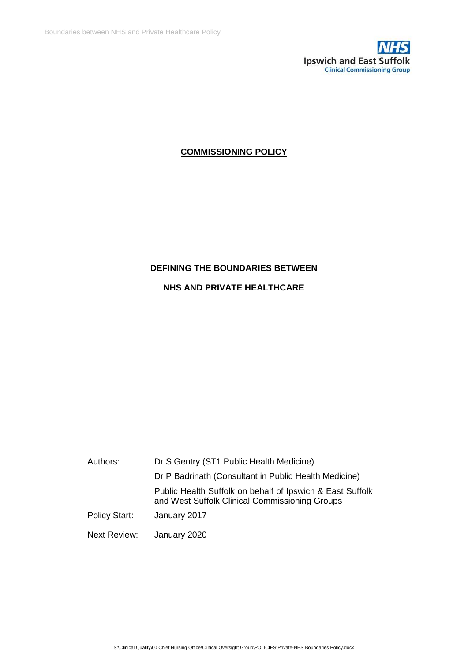

# **COMMISSIONING POLICY**

# **DEFINING THE BOUNDARIES BETWEEN**

## **NHS AND PRIVATE HEALTHCARE**

| Authors:      | Dr S Gentry (ST1 Public Health Medicine)                                                                    |
|---------------|-------------------------------------------------------------------------------------------------------------|
|               | Dr P Badrinath (Consultant in Public Health Medicine)                                                       |
|               | Public Health Suffolk on behalf of Ipswich & East Suffolk<br>and West Suffolk Clinical Commissioning Groups |
| Policy Start: | January 2017                                                                                                |
| Next Review:  | January 2020                                                                                                |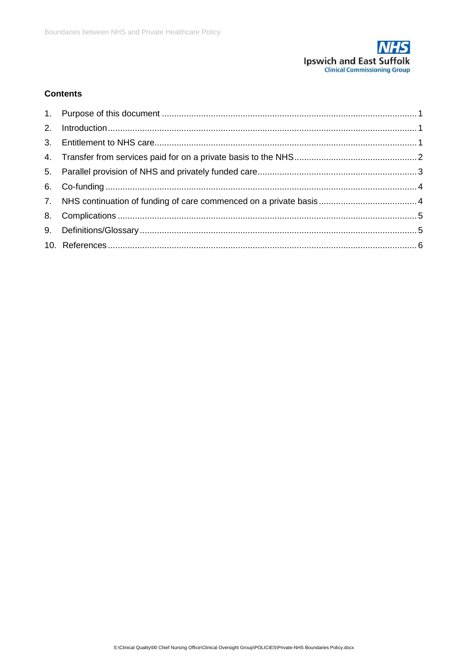

# **Contents**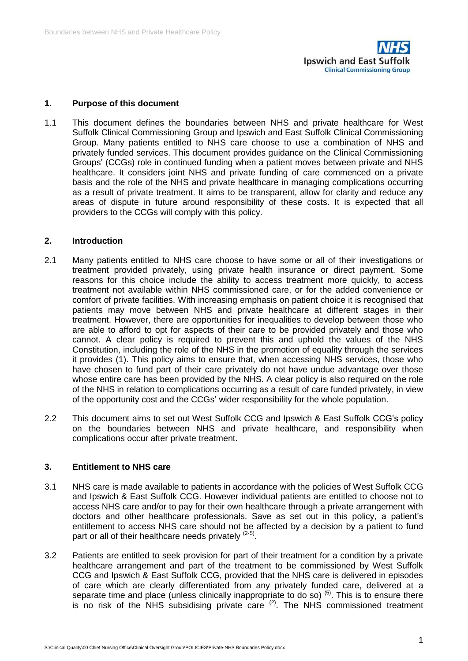

#### <span id="page-2-0"></span>**1. Purpose of this document**

1.1 This document defines the boundaries between NHS and private healthcare for West Suffolk Clinical Commissioning Group and Ipswich and East Suffolk Clinical Commissioning Group. Many patients entitled to NHS care choose to use a combination of NHS and privately funded services. This document provides guidance on the Clinical Commissioning Groups' (CCGs) role in continued funding when a patient moves between private and NHS healthcare. It considers joint NHS and private funding of care commenced on a private basis and the role of the NHS and private healthcare in managing complications occurring as a result of private treatment. It aims to be transparent, allow for clarity and reduce any areas of dispute in future around responsibility of these costs. It is expected that all providers to the CCGs will comply with this policy.

#### <span id="page-2-1"></span>**2. Introduction**

- 2.1 Many patients entitled to NHS care choose to have some or all of their investigations or treatment provided privately, using private health insurance or direct payment. Some reasons for this choice include the ability to access treatment more quickly, to access treatment not available within NHS commissioned care, or for the added convenience or comfort of private facilities. With increasing emphasis on patient choice it is recognised that patients may move between NHS and private healthcare at different stages in their treatment. However, there are opportunities for inequalities to develop between those who are able to afford to opt for aspects of their care to be provided privately and those who cannot. A clear policy is required to prevent this and uphold the values of the NHS Constitution, including the role of the NHS in the promotion of equality through the services it provides (1). This policy aims to ensure that, when accessing NHS services, those who have chosen to fund part of their care privately do not have undue advantage over those whose entire care has been provided by the NHS. A clear policy is also required on the role of the NHS in relation to complications occurring as a result of care funded privately, in view of the opportunity cost and the CCGs' wider responsibility for the whole population.
- 2.2 This document aims to set out West Suffolk CCG and Ipswich & East Suffolk CCG's policy on the boundaries between NHS and private healthcare, and responsibility when complications occur after private treatment.

#### <span id="page-2-2"></span>**3. Entitlement to NHS care**

- 3.1 NHS care is made available to patients in accordance with the policies of West Suffolk CCG and Ipswich & East Suffolk CCG. However individual patients are entitled to choose not to access NHS care and/or to pay for their own healthcare through a private arrangement with doctors and other healthcare professionals. Save as set out in this policy, a patient's entitlement to access NHS care should not be affected by a decision by a patient to fund part or all of their healthcare needs privately <sup>(2-5)</sup>.
- 3.2 Patients are entitled to seek provision for part of their treatment for a condition by a private healthcare arrangement and part of the treatment to be commissioned by West Suffolk CCG and Ipswich & East Suffolk CCG, provided that the NHS care is delivered in episodes of care which are clearly differentiated from any privately funded care, delivered at a separate time and place (unless clinically inappropriate to do so)<sup>(5)</sup>. This is to ensure there is no risk of the NHS subsidising private care  $(2)$ . The NHS commissioned treatment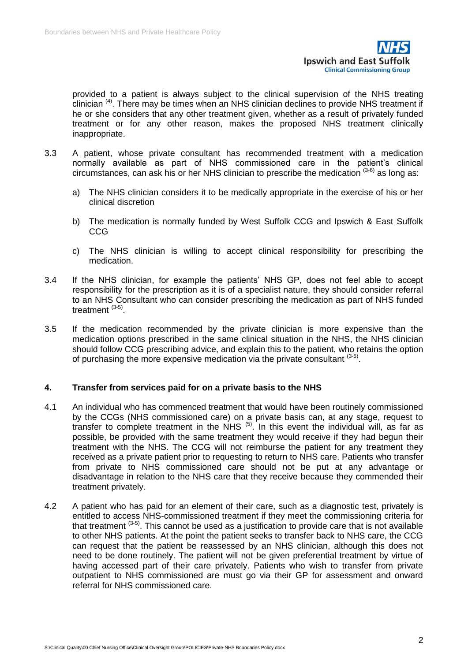

provided to a patient is always subject to the clinical supervision of the NHS treating clinician  $<sup>(4)</sup>$ . There may be times when an NHS clinician declines to provide NHS treatment if</sup> he or she considers that any other treatment given, whether as a result of privately funded treatment or for any other reason, makes the proposed NHS treatment clinically inappropriate.

- 3.3 A patient, whose private consultant has recommended treatment with a medication normally available as part of NHS commissioned care in the patient's clinical circumstances, can ask his or her NHS clinician to prescribe the medication  $(3-6)$  as long as:
	- a) The NHS clinician considers it to be medically appropriate in the exercise of his or her clinical discretion
	- b) The medication is normally funded by West Suffolk CCG and Ipswich & East Suffolk CCG
	- c) The NHS clinician is willing to accept clinical responsibility for prescribing the medication.
- 3.4 If the NHS clinician, for example the patients' NHS GP, does not feel able to accept responsibility for the prescription as it is of a specialist nature, they should consider referral to an NHS Consultant who can consider prescribing the medication as part of NHS funded treatment <sup>(3-5)</sup>.
- 3.5 If the medication recommended by the private clinician is more expensive than the medication options prescribed in the same clinical situation in the NHS, the NHS clinician should follow CCG prescribing advice, and explain this to the patient, who retains the option of purchasing the more expensive medication via the private consultant  $(3-5)$ .

#### <span id="page-3-0"></span>**4. Transfer from services paid for on a private basis to the NHS**

- 4.1 An individual who has commenced treatment that would have been routinely commissioned by the CCGs (NHS commissioned care) on a private basis can, at any stage, request to transfer to complete treatment in the  $NHS$  (5). In this event the individual will, as far as possible, be provided with the same treatment they would receive if they had begun their treatment with the NHS. The CCG will not reimburse the patient for any treatment they received as a private patient prior to requesting to return to NHS care. Patients who transfer from private to NHS commissioned care should not be put at any advantage or disadvantage in relation to the NHS care that they receive because they commended their treatment privately.
- 4.2 A patient who has paid for an element of their care, such as a diagnostic test, privately is entitled to access NHS-commissioned treatment if they meet the commissioning criteria for that treatment  $(3-5)$ . This cannot be used as a justification to provide care that is not available to other NHS patients. At the point the patient seeks to transfer back to NHS care, the CCG can request that the patient be reassessed by an NHS clinician, although this does not need to be done routinely. The patient will not be given preferential treatment by virtue of having accessed part of their care privately. Patients who wish to transfer from private outpatient to NHS commissioned are must go via their GP for assessment and onward referral for NHS commissioned care.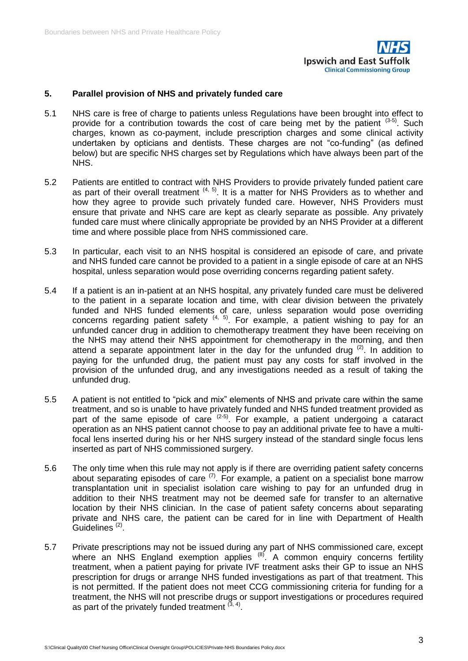

## <span id="page-4-0"></span>**5. Parallel provision of NHS and privately funded care**

- 5.1 NHS care is free of charge to patients unless Regulations have been brought into effect to provide for a contribution towards the cost of care being met by the patient  $(3-5)$ . Such charges, known as co-payment, include prescription charges and some clinical activity undertaken by opticians and dentists. These charges are not "co-funding" (as defined below) but are specific NHS charges set by Regulations which have always been part of the NHS.
- 5.2 Patients are entitled to contract with NHS Providers to provide privately funded patient care as part of their overall treatment  $(4, 5)$ . It is a matter for NHS Providers as to whether and how they agree to provide such privately funded care. However, NHS Providers must ensure that private and NHS care are kept as clearly separate as possible. Any privately funded care must where clinically appropriate be provided by an NHS Provider at a different time and where possible place from NHS commissioned care.
- 5.3 In particular, each visit to an NHS hospital is considered an episode of care, and private and NHS funded care cannot be provided to a patient in a single episode of care at an NHS hospital, unless separation would pose overriding concerns regarding patient safety.
- 5.4 If a patient is an in-patient at an NHS hospital, any privately funded care must be delivered to the patient in a separate location and time, with clear division between the privately funded and NHS funded elements of care, unless separation would pose overriding concerns regarding patient safety  $(4, 5)$ . For example, a patient wishing to pay for an unfunded cancer drug in addition to chemotherapy treatment they have been receiving on the NHS may attend their NHS appointment for chemotherapy in the morning, and then attend a separate appointment later in the day for the unfunded drug  $(2)$ . In addition to paying for the unfunded drug, the patient must pay any costs for staff involved in the provision of the unfunded drug, and any investigations needed as a result of taking the unfunded drug.
- 5.5 A patient is not entitled to "pick and mix" elements of NHS and private care within the same treatment, and so is unable to have privately funded and NHS funded treatment provided as part of the same episode of care  $(2-5)$ . For example, a patient undergoing a cataract operation as an NHS patient cannot choose to pay an additional private fee to have a multifocal lens inserted during his or her NHS surgery instead of the standard single focus lens inserted as part of NHS commissioned surgery.
- 5.6 The only time when this rule may not apply is if there are overriding patient safety concerns about separating episodes of care (7). For example, a patient on a specialist bone marrow transplantation unit in specialist isolation care wishing to pay for an unfunded drug in addition to their NHS treatment may not be deemed safe for transfer to an alternative location by their NHS clinician. In the case of patient safety concerns about separating private and NHS care, the patient can be cared for in line with Department of Health Guidelines<sup>(2)</sup>.
- 5.7 Private prescriptions may not be issued during any part of NHS commissioned care, except where an NHS England exemption applies  $^{(8)}$ . A common enquiry concerns fertility treatment, when a patient paying for private IVF treatment asks their GP to issue an NHS prescription for drugs or arrange NHS funded investigations as part of that treatment. This is not permitted. If the patient does not meet CCG commissioning criteria for funding for a treatment, the NHS will not prescribe drugs or support investigations or procedures required as part of the privately funded treatment  $(3, 4)$ .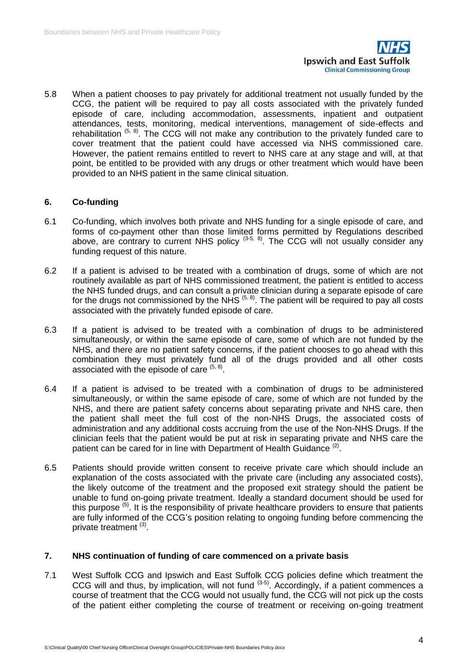

5.8 When a patient chooses to pay privately for additional treatment not usually funded by the CCG, the patient will be required to pay all costs associated with the privately funded episode of care, including accommodation, assessments, inpatient and outpatient attendances, tests, monitoring, medical interventions, management of side-effects and rehabilitation  $(5, 8)$ . The CCG will not make any contribution to the privately funded care to cover treatment that the patient could have accessed via NHS commissioned care. However, the patient remains entitled to revert to NHS care at any stage and will, at that point, be entitled to be provided with any drugs or other treatment which would have been provided to an NHS patient in the same clinical situation.

# <span id="page-5-0"></span>**6. Co-funding**

- 6.1 Co-funding, which involves both private and NHS funding for a single episode of care, and forms of co-payment other than those limited forms permitted by Regulations described above, are contrary to current NHS policy  $(3-5, 8)$ . The CCG will not usually consider any funding request of this nature.
- 6.2 If a patient is advised to be treated with a combination of drugs, some of which are not routinely available as part of NHS commissioned treatment, the patient is entitled to access the NHS funded drugs, and can consult a private clinician during a separate episode of care for the drugs not commissioned by the NHS <sup>(5, 8)</sup>. The patient will be required to pay all costs associated with the privately funded episode of care.
- 6.3 If a patient is advised to be treated with a combination of drugs to be administered simultaneously, or within the same episode of care, some of which are not funded by the NHS, and there are no patient safety concerns, if the patient chooses to go ahead with this combination they must privately fund all of the drugs provided and all other costs associated with the episode of care  $(5, 8)$ .
- 6.4 If a patient is advised to be treated with a combination of drugs to be administered simultaneously, or within the same episode of care, some of which are not funded by the NHS, and there are patient safety concerns about separating private and NHS care, then the patient shall meet the full cost of the non-NHS Drugs, the associated costs of administration and any additional costs accruing from the use of the Non-NHS Drugs. If the clinician feels that the patient would be put at risk in separating private and NHS care the patient can be cared for in line with Department of Health Guidance<sup>(2)</sup>.
- 6.5 Patients should provide written consent to receive private care which should include an explanation of the costs associated with the private care (including any associated costs), the likely outcome of the treatment and the proposed exit strategy should the patient be unable to fund on-going private treatment. Ideally a standard document should be used for this purpose  $(5)$ . It is the responsibility of private healthcare providers to ensure that patients are fully informed of the CCG's position relating to ongoing funding before commencing the private treatment<sup>(3)</sup>.

# <span id="page-5-1"></span>**7. NHS continuation of funding of care commenced on a private basis**

7.1 West Suffolk CCG and Ipswich and East Suffolk CCG policies define which treatment the CCG will and thus, by implication, will not fund (3-5). Accordingly, if a patient commences a course of treatment that the CCG would not usually fund, the CCG will not pick up the costs of the patient either completing the course of treatment or receiving on-going treatment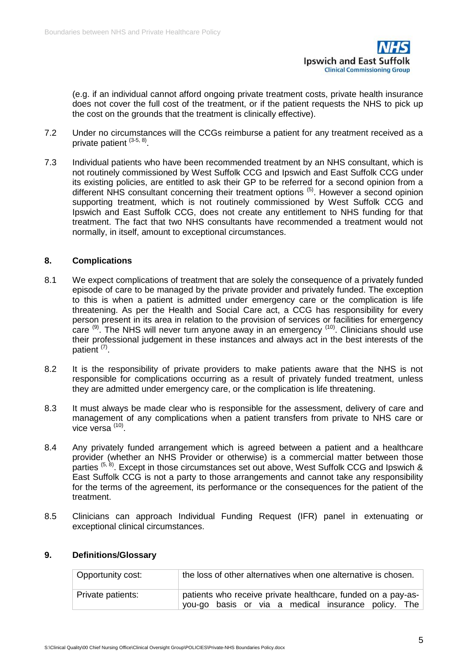

(e.g. if an individual cannot afford ongoing private treatment costs, private health insurance does not cover the full cost of the treatment, or if the patient requests the NHS to pick up the cost on the grounds that the treatment is clinically effective).

- 7.2 Under no circumstances will the CCGs reimburse a patient for any treatment received as a private patient <sup>(3-5, 8)</sup>.
- 7.3 Individual patients who have been recommended treatment by an NHS consultant, which is not routinely commissioned by West Suffolk CCG and Ipswich and East Suffolk CCG under its existing policies, are entitled to ask their GP to be referred for a second opinion from a different NHS consultant concerning their treatment options (5). However a second opinion supporting treatment, which is not routinely commissioned by West Suffolk CCG and Ipswich and East Suffolk CCG, does not create any entitlement to NHS funding for that treatment. The fact that two NHS consultants have recommended a treatment would not normally, in itself, amount to exceptional circumstances.

## <span id="page-6-0"></span>**8. Complications**

- 8.1 We expect complications of treatment that are solely the consequence of a privately funded episode of care to be managed by the private provider and privately funded. The exception to this is when a patient is admitted under emergency care or the complication is life threatening. As per the Health and Social Care act, a CCG has responsibility for every person present in its area in relation to the provision of services or facilities for emergency care  $^{(9)}$ . The NHS will never turn anyone away in an emergency  $^{(10)}$ . Clinicians should use their professional judgement in these instances and always act in the best interests of the patient (7).
- 8.2 It is the responsibility of private providers to make patients aware that the NHS is not responsible for complications occurring as a result of privately funded treatment, unless they are admitted under emergency care, or the complication is life threatening.
- 8.3 It must always be made clear who is responsible for the assessment, delivery of care and management of any complications when a patient transfers from private to NHS care or vice versa (10).
- 8.4 Any privately funded arrangement which is agreed between a patient and a healthcare provider (whether an NHS Provider or otherwise) is a commercial matter between those parties  $(5, 8)$ . Except in those circumstances set out above, West Suffolk CCG and Ipswich & East Suffolk CCG is not a party to those arrangements and cannot take any responsibility for the terms of the agreement, its performance or the consequences for the patient of the treatment.
- 8.5 Clinicians can approach Individual Funding Request (IFR) panel in extenuating or exceptional clinical circumstances.

| Opportunity cost: | the loss of other alternatives when one alternative is chosen.                                                      |
|-------------------|---------------------------------------------------------------------------------------------------------------------|
| Private patients: | patients who receive private healthcare, funded on a pay-as-<br>you-go basis or via a medical insurance policy. The |

# <span id="page-6-1"></span>**9. Definitions/Glossary**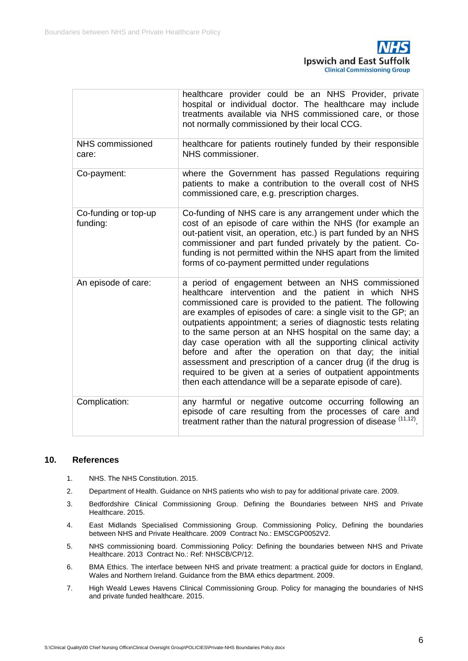

|                                  | healthcare provider could be an NHS Provider, private<br>hospital or individual doctor. The healthcare may include<br>treatments available via NHS commissioned care, or those<br>not normally commissioned by their local CCG.                                                                                                                                                                                                                                                                                                                                                                                                                                                                  |
|----------------------------------|--------------------------------------------------------------------------------------------------------------------------------------------------------------------------------------------------------------------------------------------------------------------------------------------------------------------------------------------------------------------------------------------------------------------------------------------------------------------------------------------------------------------------------------------------------------------------------------------------------------------------------------------------------------------------------------------------|
| NHS commissioned<br>care:        | healthcare for patients routinely funded by their responsible<br>NHS commissioner.                                                                                                                                                                                                                                                                                                                                                                                                                                                                                                                                                                                                               |
| Co-payment:                      | where the Government has passed Regulations requiring<br>patients to make a contribution to the overall cost of NHS<br>commissioned care, e.g. prescription charges.                                                                                                                                                                                                                                                                                                                                                                                                                                                                                                                             |
| Co-funding or top-up<br>funding: | Co-funding of NHS care is any arrangement under which the<br>cost of an episode of care within the NHS (for example an<br>out-patient visit, an operation, etc.) is part funded by an NHS<br>commissioner and part funded privately by the patient. Co-<br>funding is not permitted within the NHS apart from the limited<br>forms of co-payment permitted under regulations                                                                                                                                                                                                                                                                                                                     |
| An episode of care:              | a period of engagement between an NHS commissioned<br>healthcare intervention and the patient in which NHS<br>commissioned care is provided to the patient. The following<br>are examples of episodes of care: a single visit to the GP; an<br>outpatients appointment; a series of diagnostic tests relating<br>to the same person at an NHS hospital on the same day; a<br>day case operation with all the supporting clinical activity<br>before and after the operation on that day; the initial<br>assessment and prescription of a cancer drug (if the drug is<br>required to be given at a series of outpatient appointments<br>then each attendance will be a separate episode of care). |
| Complication:                    | any harmful or negative outcome occurring following an<br>episode of care resulting from the processes of care and<br>treatment rather than the natural progression of disease (11,12).                                                                                                                                                                                                                                                                                                                                                                                                                                                                                                          |

## <span id="page-7-0"></span>**10. References**

- 1. NHS. The NHS Constitution. 2015.
- 2. Department of Health. Guidance on NHS patients who wish to pay for additional private care. 2009.
- 3. Bedfordshire Clinical Commissioning Group. Defining the Boundaries between NHS and Private Healthcare. 2015.
- 4. East Midlands Specialised Commissioning Group. Commissioning Policy, Defining the boundaries between NHS and Private Healthcare. 2009 Contract No.: EMSCGP0052V2.
- 5. NHS commissioning board. Commissioning Policy: Defining the boundaries between NHS and Private Healthcare. 2013 Contract No.: Ref: NHSCB/CP/12.
- 6. BMA Ethics. The interface between NHS and private treatment: a practical guide for doctors in England, Wales and Northern Ireland. Guidance from the BMA ethics department. 2009.
- 7. High Weald Lewes Havens Clinical Commissioning Group. Policy for managing the boundaries of NHS and private funded healthcare. 2015.